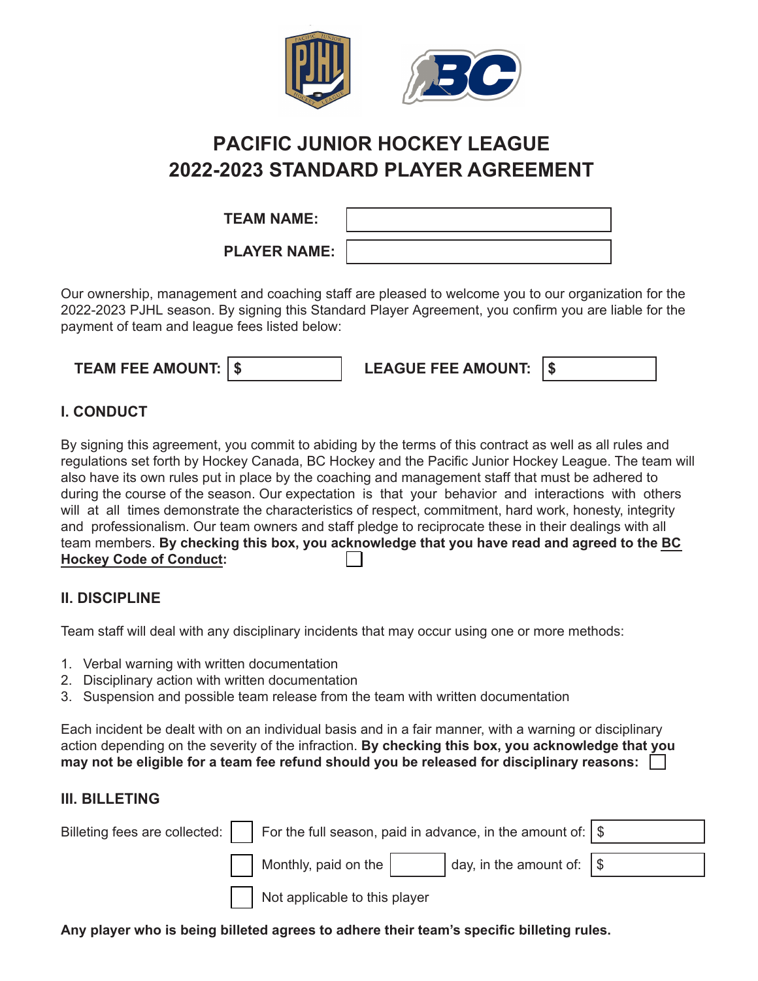

# **PACIFIC JUNIOR HOCKEY LEAGUE 2022-2023 STANDARD PLAYER AGREEMENT**

| <b>TEAM NAME:</b>   |  |
|---------------------|--|
| <b>PLAYER NAME:</b> |  |

Our ownership, management and coaching staff are pleased to welcome you to our organization for the 2022-2023 PJHL season. By signing this Standard Player Agreement, you confirm you are liable for the payment of team and league fees listed below:

| <b>TEAM FEE AMOUNT: 1 \$</b> | <b>LEAGUE FEE AMOUNT:</b> |  |
|------------------------------|---------------------------|--|
|                              |                           |  |

## **I. CONDUCT**

By signing this agreement, you commit to abiding by the terms of this contract as well as all rules and regulations set forth by Hockey Canada, BC Hockey and the Pacific Junior Hockey League. The team will also have its own rules put in place by the coaching and management staff that must be adhered to during the course of the season. Our expectation is that your behavior and interactions with others will at all times demonstrate the characteristics of respect, commitment, hard work, honesty, integrity and professionalism. Our team owners and staff pledge to reciprocate these in their dealings with all team members. **[By checking this box, you acknowledge that you have read and agreed to the BC](https://www.bchockey.net/Files/2020-2021%20Policy%20Final%20-%20Web%20Version%202020-06-19%20FINAL.pdf) Hockey Code of Conduct:**

### **II. DISCIPLINE**

Team staff will deal with any disciplinary incidents that may occur using one or more methods:

- 1. Verbal warning with written documentation
- 2. Disciplinary action with written documentation
- 3. Suspension and possible team release from the team with written documentation

Each incident be dealt with on an individual basis and in a fair manner, with a warning or disciplinary action depending on the severity of the infraction. **By checking this box, you acknowledge that you may not be eligible for a team fee refund should you be released for disciplinary reasons:**

## **III. BILLETING**

| Billeting fees are collected: $\vert \vert$ For the full season, paid in advance, in the amount of: $\vert \$ |  |                                          |  |  |
|---------------------------------------------------------------------------------------------------------------|--|------------------------------------------|--|--|
| Monthly, paid on the                                                                                          |  | $\vert$ day, in the amount of: $\vert \$ |  |  |
| Not applicable to this player                                                                                 |  |                                          |  |  |

**Any player who is being billeted agrees to adhere their team's specific billeting rules.**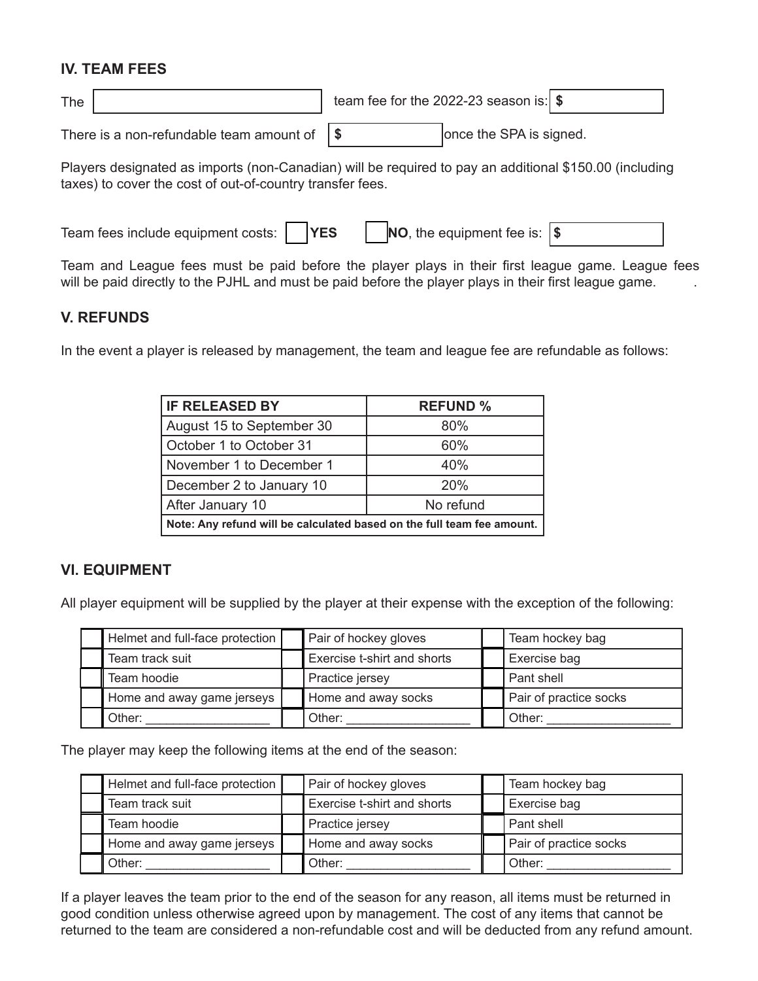#### **IV. TEAM FEES**

| The |                                                               | team fee for the 2022-23 season is: $\frac{1}{3}$ |                         |  |
|-----|---------------------------------------------------------------|---------------------------------------------------|-------------------------|--|
|     | There is a non-refundable team amount of $\sqrt{\frac{2}{3}}$ |                                                   | once the SPA is signed. |  |

Players designated as imports (non-Canadian) will be required to pay an additional \$150.00 (including taxes) to cover the cost of out-of-country transfer fees.

| Team fees include equipment costs: | <b>IYES</b> | <b>NO</b> , the equipment fee is: $ \$$ |  |  |
|------------------------------------|-------------|-----------------------------------------|--|--|
|------------------------------------|-------------|-----------------------------------------|--|--|

Team and League fees must be paid before the player plays in their first league game. League fees will be paid directly to the PJHL and must be paid before the player plays in their first league game.

#### **V. REFUNDS**

In the event a player is released by management, the team and league fee are refundable as follows:

| <b>IF RELEASED BY</b>                                                  | <b>REFUND %</b> |  |
|------------------------------------------------------------------------|-----------------|--|
| August 15 to September 30                                              | 80%             |  |
| October 1 to October 31                                                | 60%             |  |
| November 1 to December 1                                               | 40%             |  |
| December 2 to January 10                                               | 20%             |  |
| After January 10                                                       | No refund       |  |
| Note: Any refund will be calculated based on the full team fee amount. |                 |  |

#### **VI. EQUIPMENT**

All player equipment will be supplied by the player at their expense with the exception of the following:

| Helmet and full-face protection | Pair of hockey gloves       | Team hockey bag        |
|---------------------------------|-----------------------------|------------------------|
| Team track suit                 | Exercise t-shirt and shorts | Exercise bag           |
| Team hoodie                     | Practice jersey             | Pant shell             |
| Home and away game jerseys      | Home and away socks         | Pair of practice socks |
| Other:                          | Other:                      | Other:                 |

The player may keep the following items at the end of the season:

| Helmet and full-face protection | Pair of hockey gloves       | Team hockey bag        |
|---------------------------------|-----------------------------|------------------------|
| Team track suit                 | Exercise t-shirt and shorts | Exercise bag           |
| Team hoodie                     | Practice jersey             | Pant shell             |
| Home and away game jerseys      | Home and away socks         | Pair of practice socks |
| Other:                          | Other:                      | Other:                 |

If a player leaves the team prior to the end of the season for any reason, all items must be returned in good condition unless otherwise agreed upon by management. The cost of any items that cannot be returned to the team are considered a non-refundable cost and will be deducted from any refund amount.